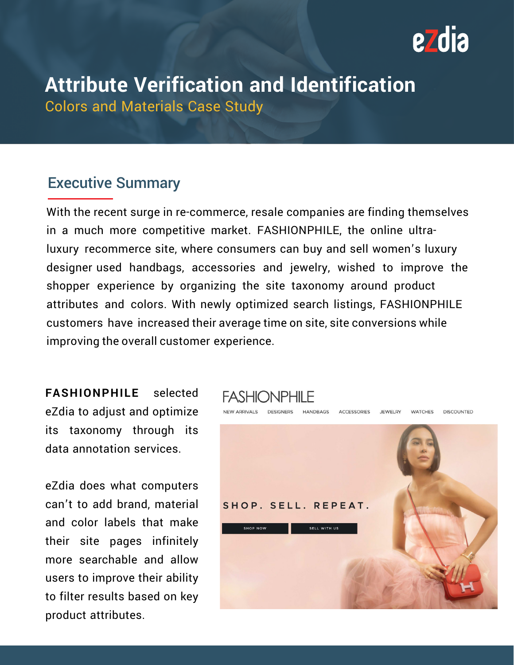

# **Attribute Verification and Identification**

Colors and Materials Case Study

### Executive Summary

With the recent surge in re-commerce, resale companies are finding themselves in a much more competitive market. FASHIONPHILE, the online ultraluxury recommerce site, where consumers can buy and sell women's luxury designer used handbags, accessories and jewelry, wished to improve the shopper experience by organizing the site taxonomy around product attributes and colors. With newly optimized search listings, FASHIONPHILE customers have increased their average time on site, site conversions while improving the overall customer experience.

**FASHIONPHILE** selected eZdia to adjust and optimize its taxonomy through its data annotation services.

eZdia does what computers can't to add brand, material and color labels that make their site pages infinitely more searchable and allow users to improve their ability to filter results based on key product attributes.

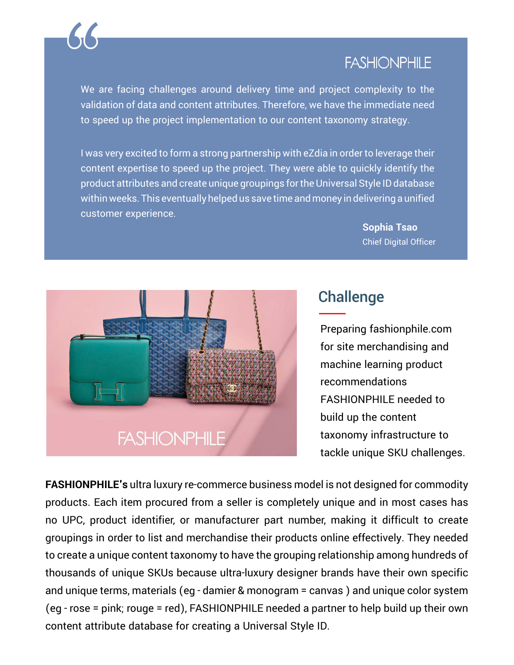

### **FASHIONPHILE**

We are facing challenges around delivery time and project complexity to the validation of data and content attributes. Therefore, we have the immediate need to speed up the project implementation to our content taxonomy strategy.

I was very excited to form a strong partnership with eZdia in order to leverage their content expertise to speed up the project. They were able to quickly identify the product attributes and create unique groupings for the Universal Style ID database within weeks. This eventually helped us save time and money in delivering a unified customer experience.

> **Sophia Tsao** Chief Digital Officer



## **Challenge**

Preparing fashionphile.com for site merchandising and machine learning product recommendations FASHIONPHILE needed to build up the content taxonomy infrastructure to tackle unique SKU challenges.

**FASHIONPHILE's** ultra luxury re-commerce business model is not designed for commodity products. Each item procured from a seller is completely unique and in most cases has no UPC, product identifier, or manufacturer part number, making it difficult to create groupings in order to list and merchandise their products online effectively. They needed to create a unique content taxonomy to have the grouping relationship among hundreds of thousands of unique SKUs because ultra-luxury designer brands have their own specific and unique terms, materials (eg - damier & monogram = canvas ) and unique color system (eg - rose = pink; rouge = red), FASHIONPHILE needed a partner to help build up their own content attribute database for creating a Universal Style ID.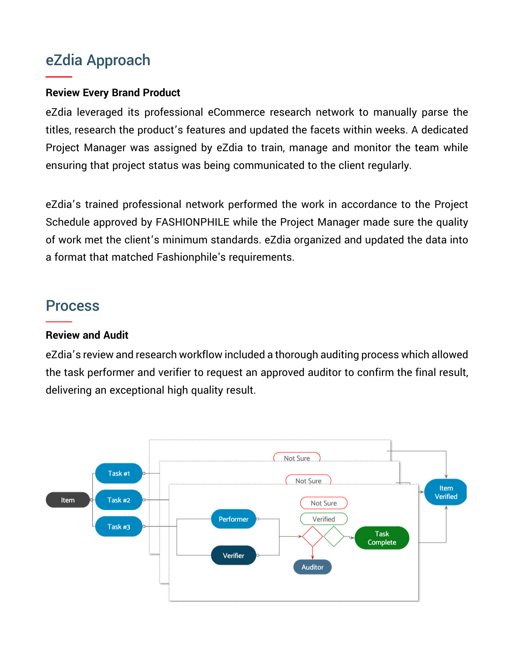### eZdia Approach

#### **Review Every Brand Product**

eZdia leveraged its professional eCommerce research network to manually parse the titles, research the product's features and updated the facets within weeks. A dedicated Project Manager was assigned by eZdia to train, manage and monitor the team while ensuring that project status was being communicated to the client regularly.

eZdia's trained professional network performed the work in accordance to the Project Schedule approved by FASHIONPHILE while the Project Manager made sure the quality of work met the client's minimum standards. eZdia organized and updated the data into a format that matched Fashionphile's requirements.

### **Process**

#### **Review and Audit**

eZdia's review and research workflow included a thorough auditing process which allowed the task performer and verifier to request an approved auditor to confirm the final result, delivering an exceptional high quality result.